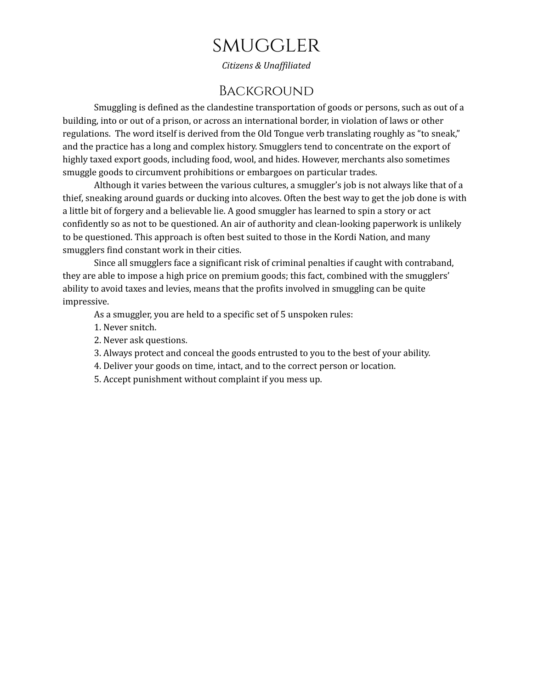# **SMUGGLER**

*Citizens & Unaf iliated*

## **BACKGROUND**

Smuggling is defined as the clandestine transportation of goods or persons, such as out of a building, into or out of a prison, or across an international border, in violation of laws or other regulations. The word itself is derived from the Old Tongue verb translating roughly as "to sneak," and the practice has a long and complex history. Smugglers tend to concentrate on the export of highly taxed export goods, including food, wool, and hides. However, merchants also sometimes smuggle goods to circumvent prohibitions or embargoes on particular trades.

Although it varies between the various cultures, a smuggler's job is not always like that of a thief, sneaking around guards or ducking into alcoves. Often the best way to get the job done is with a little bit of forgery and a believable lie. A good smuggler has learned to spin a story or act confidently so as not to be questioned. An air of authority and clean-looking paperwork is unlikely to be questioned. This approach is often best suited to those in the Kordi Nation, and many smugglers find constant work in their cities.

Since all smugglers face a significant risk of criminal penalties if caught with contraband, they are able to impose a high price on premium goods; this fact, combined with the smugglers' ability to avoid taxes and levies, means that the profits involved in smuggling can be quite impressive.

As a smuggler, you are held to a specific set of 5 unspoken rules:

- 1. Never snitch.
- 2. Never ask questions.
- 3. Always protect and conceal the goods entrusted to you to the best of your ability.
- 4. Deliver your goods on time, intact, and to the correct person or location.
- 5. Accept punishment without complaint if you mess up.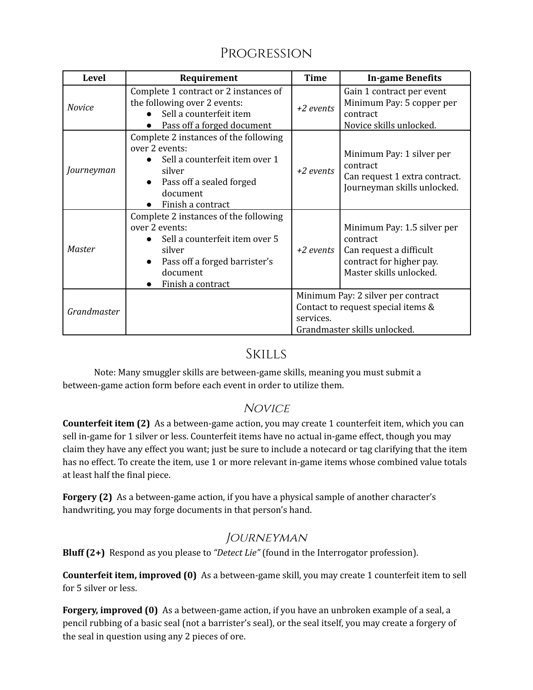# Progression

| <b>Level</b>  | Requirement                                                                                                                                                           | <b>Time</b>                                                                                                           | <b>In-game Benefits</b>                                                                                                   |
|---------------|-----------------------------------------------------------------------------------------------------------------------------------------------------------------------|-----------------------------------------------------------------------------------------------------------------------|---------------------------------------------------------------------------------------------------------------------------|
| <b>Novice</b> | Complete 1 contract or 2 instances of<br>the following over 2 events:<br>Sell a counterfeit item<br>Pass off a forged document                                        | +2 events                                                                                                             | Gain 1 contract per event<br>Minimum Pay: 5 copper per<br>contract<br>Novice skills unlocked.                             |
| Journeyman    | Complete 2 instances of the following<br>over 2 events:<br>Sell a counterfeit item over 1<br>silver<br>Pass off a sealed forged<br>document<br>Finish a contract      | $+2$ events                                                                                                           | Minimum Pay: 1 silver per<br>contract<br>Can request 1 extra contract.<br>Journeyman skills unlocked.                     |
| Master        | Complete 2 instances of the following<br>over 2 events:<br>Sell a counterfeit item over 5<br>silver<br>Pass off a forged barrister's<br>document<br>Finish a contract | +2 events                                                                                                             | Minimum Pay: 1.5 silver per<br>contract<br>Can request a difficult<br>contract for higher pay.<br>Master skills unlocked. |
| Grandmaster   |                                                                                                                                                                       | Minimum Pay: 2 silver per contract<br>Contact to request special items &<br>services.<br>Grandmaster skills unlocked. |                                                                                                                           |

## Skills

Note: Many smuggler skills are between-game skills, meaning you must submit a between-game action form before each event in order to utilize them.

#### **NOVICE**

**Counterfeit item (2)** As a between-game action, you may create 1 counterfeit item, which you can sell in-game for 1 silver or less. Counterfeit items have no actual in-game effect, though you may claim they have any effect you want; just be sure to include a notecard or tag clarifying that the item has no effect. To create the item, use 1 or more relevant in-game items whose combined value totals at least half the final piece.

**Forgery (2)** As a between-game action, if you have a physical sample of another character's handwriting, you may forge documents in that person's hand.

## **JOURNEYMAN**

**Bluff (2+)** Respond as you please to *"Detect Lie"* (found in the Interrogator profession).

**Counterfeit item, improved (0)** As a between-game skill, you may create 1 counterfeit item to sell for 5 silver or less.

**Forgery, improved (0)** As a between-game action, if you have an unbroken example of a seal, a pencil rubbing of a basic seal (not a barrister's seal), or the seal itself, you may create a forgery of the seal in question using any 2 pieces of ore.